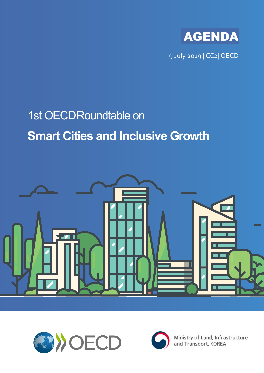

9 July 2019 | CC2| OECD

# 1st OECDRoundtable on **Smart Cities and Inclusive Growth**







Ministry of Land, Infrastructure and Transport, KOREA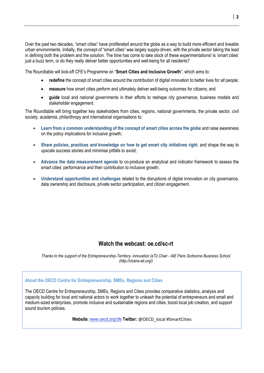Over the past two decades, "smart cities" have proliferated around the globe as a way to build more efficient and liveable urban environments. Initially, the concept of "smart cities" was largely supply-driven, with the private sector taking the lead in defining both the problem and the solution. The time has come to take stock of these experimentations! Is 'smart cities' just a buzz term, or do they really deliver better opportunities and well-being for all residents?

The Roundtable will kick-off CFE's Programme on "**Smart Cities and Inclusive Growth**", which aims to:

- **redefine** the concept of smart cities around the contribution of digital innovation to better lives for *all* people;
- **measure** how smart cities perform and ultimately deliver well-being outcomes for citizens; and
- **guide** local and national governments in their efforts to reshape city governance, business models and stakeholder engagement.

The Roundtable will bring together key stakeholders from cities, regions, national governments, the private sector, civil society, academia, philanthropy and international organisations to:

- **Learn from a common understanding of the concept of smart cities across the globe** and raise awareness on the policy implications for inclusive growth;
- **Share policies, practices and knowledge on how to get smart city initiatives right**, and shape the way to upscale success stories and minimise pitfalls to avoid;
- **Advance the data measurement agenda** to co-produce an analytical and indicator framework to assess the smart cities' performance and their contribution to inclusive growth;
- **Understand opportunities and challenges** related to the disruptions of digital innovation on city governance, data ownership and disclosure, private sector participation, and citizen engagement.

# **Watch the webcast: oe.cd/sc-rt**

*Thanks to the support of the Entrepreneurship-Territory- innovation (eTi) Chair - IAE Paris Sorbonne Business School (http://chaire-eti.org/)*

## **About the OECD Centre for Entrepreneurship, SMEs, Regions and Cities**

The OECD Centre for Entrepreneurship, SMEs, Regions and Cities provides comparative statistics, analysis and capacity building for local and national actors to work together to unleash the potential of entrepreneurs and small and medium-sized enterprises, promote inclusive and sustainable regions and cities, boost local job creation, and support sound tourism policies.

**Website**[: www.oecd.org/cfe](http://www.oecd.org/cfe) **Twitter:** [@OECD\\_local](https://twitter.com/OECD_local) #SmartCities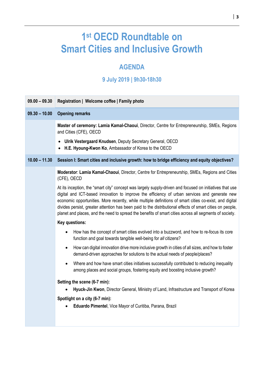# **1st OECD Roundtable on Smart Cities and Inclusive Growth**

# **AGENDA**

# **9 July 2019 | 9h30-18h30**

| $09.00 - 09.30$ | Registration   Welcome coffee   Family photo                                                                                                                                                                                                                                                                                                                                                                                                                                                                                                |
|-----------------|---------------------------------------------------------------------------------------------------------------------------------------------------------------------------------------------------------------------------------------------------------------------------------------------------------------------------------------------------------------------------------------------------------------------------------------------------------------------------------------------------------------------------------------------|
| $09.30 - 10.00$ | <b>Opening remarks</b>                                                                                                                                                                                                                                                                                                                                                                                                                                                                                                                      |
|                 | Master of ceremony: Lamia Kamal-Chaoui, Director, Centre for Entrepreneurship, SMEs, Regions<br>and Cities (CFE), OECD                                                                                                                                                                                                                                                                                                                                                                                                                      |
|                 | Ulrik Vestergaard Knudsen, Deputy Secretary General, OECD<br>$\bullet$<br>H.E. Hyoung-Kwon Ko, Ambassador of Korea to the OECD                                                                                                                                                                                                                                                                                                                                                                                                              |
| $10.00 - 11.30$ | Session I: Smart cities and inclusive growth: how to bridge efficiency and equity objectives?                                                                                                                                                                                                                                                                                                                                                                                                                                               |
|                 | Moderator: Lamia Kamal-Chaoui, Director, Centre for Entrepreneurship, SMEs, Regions and Cities<br>(CFE), OECD                                                                                                                                                                                                                                                                                                                                                                                                                               |
|                 | At its inception, the "smart city" concept was largely supply-driven and focused on initiatives that use<br>digital and ICT-based innovation to improve the efficiency of urban services and generate new<br>economic opportunities. More recently, while multiple definitions of smart cities co-exist, and digital<br>divides persist, greater attention has been paid to the distributional effects of smart cities on people,<br>planet and places, and the need to spread the benefits of smart cities across all segments of society. |
|                 | Key questions:                                                                                                                                                                                                                                                                                                                                                                                                                                                                                                                              |
|                 | How has the concept of smart cities evolved into a buzzword, and how to re-focus its core<br>$\bullet$<br>function and goal towards tangible well-being for all citizens?                                                                                                                                                                                                                                                                                                                                                                   |
|                 | How can digital innovation drive more inclusive growth in cities of all sizes, and how to foster<br>$\bullet$<br>demand-driven approaches for solutions to the actual needs of people/places?                                                                                                                                                                                                                                                                                                                                               |
|                 | Where and how have smart cities initiatives successfully contributed to reducing inequality<br>$\bullet$<br>among places and social groups, fostering equity and boosting inclusive growth?                                                                                                                                                                                                                                                                                                                                                 |
|                 | Setting the scene (6-7 min):                                                                                                                                                                                                                                                                                                                                                                                                                                                                                                                |
|                 | Hyuck-Jin Kwon, Director General, Ministry of Land, Infrastructure and Transport of Korea                                                                                                                                                                                                                                                                                                                                                                                                                                                   |
|                 | Spotlight on a city (6-7 min):                                                                                                                                                                                                                                                                                                                                                                                                                                                                                                              |
|                 | Eduardo Pimentel, Vice Mayor of Curitiba, Parana, Brazil                                                                                                                                                                                                                                                                                                                                                                                                                                                                                    |
|                 |                                                                                                                                                                                                                                                                                                                                                                                                                                                                                                                                             |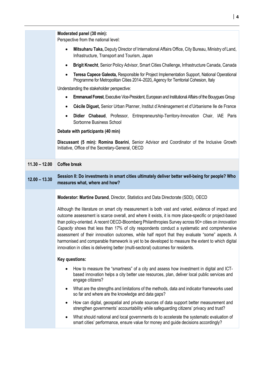|                 | Moderated panel (30 min):<br>Perspective from the national level:                                                                                                                                                                                                                                                                                                                                                                                                                                                                                                                                                                                                                                               |
|-----------------|-----------------------------------------------------------------------------------------------------------------------------------------------------------------------------------------------------------------------------------------------------------------------------------------------------------------------------------------------------------------------------------------------------------------------------------------------------------------------------------------------------------------------------------------------------------------------------------------------------------------------------------------------------------------------------------------------------------------|
|                 | Mitsuharu Taka, Deputy Director of International Affairs Office, City Bureau, Ministry of Land,<br>$\bullet$<br>Infrastructure, Transport and Tourism, Japan                                                                                                                                                                                                                                                                                                                                                                                                                                                                                                                                                    |
|                 | Brigit Knecht, Senior Policy Advisor, Smart Cities Challenge, Infrastructure Canada, Canada<br>$\bullet$                                                                                                                                                                                                                                                                                                                                                                                                                                                                                                                                                                                                        |
|                 | Teresa Capece Galeota, Responsible for Project Implementation Support, National Operational<br>$\bullet$<br>Programme for Metropolitan Cities 2014-2020, Agency for Territorial Cohesion, Italy<br>Understanding the stakeholder perspective:                                                                                                                                                                                                                                                                                                                                                                                                                                                                   |
|                 | Emmanuel Forest, Executive Vice-President, European and Institutional Affairs of the Bouygues Group<br>$\bullet$                                                                                                                                                                                                                                                                                                                                                                                                                                                                                                                                                                                                |
|                 | Cécile Diguet, Senior Urban Planner, Institut d'Aménagement et d'Urbanisme lle de France<br>٠                                                                                                                                                                                                                                                                                                                                                                                                                                                                                                                                                                                                                   |
|                 | Didier Chabaud, Professor, Entrepreneurship-Territory-Innovation Chair, IAE Paris<br>$\bullet$<br>Sorbonne Business School                                                                                                                                                                                                                                                                                                                                                                                                                                                                                                                                                                                      |
|                 | Debate with participants (40 min)                                                                                                                                                                                                                                                                                                                                                                                                                                                                                                                                                                                                                                                                               |
|                 | Discussant (5 min): Romina Boarini, Senior Advisor and Coordinator of the Inclusive Growth<br>Initiative, Office of the Secretary-General, OECD                                                                                                                                                                                                                                                                                                                                                                                                                                                                                                                                                                 |
| $11.30 - 12.00$ | <b>Coffee break</b>                                                                                                                                                                                                                                                                                                                                                                                                                                                                                                                                                                                                                                                                                             |
| $12.00 - 13.30$ | Session II: Do investments in smart cities ultimately deliver better well-being for people? Who<br>measures what, where and how?                                                                                                                                                                                                                                                                                                                                                                                                                                                                                                                                                                                |
|                 | Moderator: Martine Durand, Director, Statistics and Data Directorate (SDD), OECD                                                                                                                                                                                                                                                                                                                                                                                                                                                                                                                                                                                                                                |
|                 | Although the literature on smart city measurement is both vast and varied, evidence of impact and<br>outcome assessment is scarce overall, and where it exists, it is more place-specific or project-based<br>than policy-oriented. A recent OECD-Bloomberg Philanthropies Survey across 90+ cities on Innovation<br>Capacity shows that less than 17% of city respondents conduct a systematic and comprehensive<br>assessment of their innovation outcomes, while half report that they evaluate "some" aspects. A<br>harmonised and comparable framework is yet to be developed to measure the extent to which digital<br>innovation in cities is delivering better (multi-sectoral) outcomes for residents. |
|                 | Key questions:                                                                                                                                                                                                                                                                                                                                                                                                                                                                                                                                                                                                                                                                                                  |
|                 | How to measure the "smartness" of a city and assess how investment in digital and ICT-<br>based innovation helps a city better use resources, plan, deliver local public services and<br>engage citizens?                                                                                                                                                                                                                                                                                                                                                                                                                                                                                                       |
|                 | What are the strengths and limitations of the methods, data and indicator frameworks used<br>$\bullet$<br>so far and where are the knowledge and data gaps?                                                                                                                                                                                                                                                                                                                                                                                                                                                                                                                                                     |
|                 | How can digital, geospatial and private sources of data support better measurement and<br>$\bullet$<br>strengthen governments' accountability while safeguarding citizens' privacy and trust?                                                                                                                                                                                                                                                                                                                                                                                                                                                                                                                   |
|                 | What should national and local governments do to accelerate the systematic evaluation of<br>$\bullet$<br>smart cities' performance, ensure value for money and guide decisions accordingly?                                                                                                                                                                                                                                                                                                                                                                                                                                                                                                                     |
|                 |                                                                                                                                                                                                                                                                                                                                                                                                                                                                                                                                                                                                                                                                                                                 |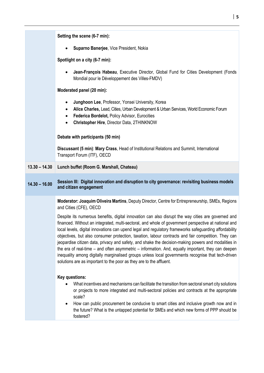|                 | Setting the scene (6-7 min):                                                                                                                                                                                                                                                                                                                                                                                                |
|-----------------|-----------------------------------------------------------------------------------------------------------------------------------------------------------------------------------------------------------------------------------------------------------------------------------------------------------------------------------------------------------------------------------------------------------------------------|
|                 | Suparno Banerjee, Vice President, Nokia<br>$\bullet$                                                                                                                                                                                                                                                                                                                                                                        |
|                 | Spotlight on a city (6-7 min):                                                                                                                                                                                                                                                                                                                                                                                              |
|                 | Jean-François Habeau, Executive Director, Global Fund for Cities Development (Fonds<br>$\bullet$<br>Mondial pour le Développement des Villes-FMDV)                                                                                                                                                                                                                                                                          |
|                 | Moderated panel (20 min):                                                                                                                                                                                                                                                                                                                                                                                                   |
|                 | Junghoon Lee, Professor, Yonsei University, Korea<br>$\bullet$<br>Alice Charles, Lead, Cities, Urban Development & Urban Services, World Economic Forum<br>Federica Bordelot, Policy Advisor, Eurocities<br>٠<br>Christopher Hire, Director Data, 2THINKNOW<br>٠                                                                                                                                                            |
|                 | Debate with participants (50 min)                                                                                                                                                                                                                                                                                                                                                                                           |
|                 | Discussant (5 min): Mary Crass, Head of Institutional Relations and Summit, International<br>Transport Forum (ITF), OECD                                                                                                                                                                                                                                                                                                    |
| $13.30 - 14.30$ | Lunch buffet (Room G. Marshall, Chateau)                                                                                                                                                                                                                                                                                                                                                                                    |
| $14.30 - 16.00$ | Session III: Digital innovation and disruption to city governance: revisiting business models<br>and citizen engagement                                                                                                                                                                                                                                                                                                     |
|                 | Moderator: Joaquim Oliveira Martins, Deputy Director, Centre for Entrepreneurship, SMEs, Regions<br>and Cities (CFE), OECD                                                                                                                                                                                                                                                                                                  |
|                 | Despite its numerous benefits, digital innovation can also disrupt the way cities are governed and<br>financed. Without an integrated, multi-sectoral, and whole of government perspective at national and<br>local levels, digital innovations can upend legal and regulatory frameworks safeguarding affordability<br>objectives, but also consumer protection, taxation, labour contracts and fair competition. They can |
|                 | jeopardise citizen data, privacy and safety, and shake the decision-making powers and modalities in<br>the era of real-time – and often asymmetric – information. And, equally important, they can deepen<br>inequality among digitally marginalised groups unless local governments recognise that tech-driven<br>solutions are as important to the poor as they are to the affluent.                                      |
|                 | Key questions:<br>What incentives and mechanisms can facilitate the transition from sectoral smart city solutions<br>or projects to more integrated and multi-sectoral policies and contracts at the appropriate<br>scale?<br>How can public procurement be conducive to smart cities and inclusive growth now and in                                                                                                       |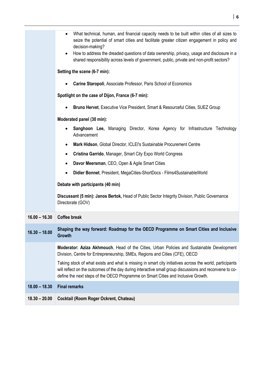|                 | What technical, human, and financial capacity needs to be built within cities of all sizes to<br>$\bullet$<br>seize the potential of smart cities and facilitate greater citizen engagement in policy and<br>decision-making?<br>How to address the dreaded questions of data ownership, privacy, usage and disclosure in a<br>$\bullet$<br>shared responsibility across levels of government, public, private and non-profit sectors? |
|-----------------|----------------------------------------------------------------------------------------------------------------------------------------------------------------------------------------------------------------------------------------------------------------------------------------------------------------------------------------------------------------------------------------------------------------------------------------|
|                 | Setting the scene (6-7 min):                                                                                                                                                                                                                                                                                                                                                                                                           |
|                 | Carine Staropoli, Associate Professor, Paris School of Economics                                                                                                                                                                                                                                                                                                                                                                       |
|                 | Spotlight on the case of Dijon, France (6-7 min):                                                                                                                                                                                                                                                                                                                                                                                      |
|                 | <b>Bruno Hervet, Executive Vice President, Smart &amp; Resourceful Cities, SUEZ Group</b><br>$\bullet$                                                                                                                                                                                                                                                                                                                                 |
|                 | Moderated panel (30 min):                                                                                                                                                                                                                                                                                                                                                                                                              |
|                 | <b>Sanghoon Lee, Managing Director, Korea Agency for Infrastructure Technology</b><br>$\bullet$<br>Advancement                                                                                                                                                                                                                                                                                                                         |
|                 | Mark Hidson, Global Director, ICLEI's Sustainable Procurement Centre<br>$\bullet$                                                                                                                                                                                                                                                                                                                                                      |
|                 | Cristina Garrido, Manager, Smart City Expo World Congress<br>$\bullet$                                                                                                                                                                                                                                                                                                                                                                 |
|                 | Davor Meersman, CEO, Open & Agile Smart Cities<br>$\bullet$                                                                                                                                                                                                                                                                                                                                                                            |
|                 | Didier Bonnet, President, MegaCities-ShortDocs - Films4SustainableWorld<br>$\bullet$                                                                                                                                                                                                                                                                                                                                                   |
|                 | Debate with participants (40 min)                                                                                                                                                                                                                                                                                                                                                                                                      |
|                 | Discussant (5 min): Janos Bertok, Head of Public Sector Integrity Division, Public Governance<br>Directorate (GOV)                                                                                                                                                                                                                                                                                                                     |
| $16.00 - 16.30$ | <b>Coffee break</b>                                                                                                                                                                                                                                                                                                                                                                                                                    |
| $16.30 - 18.00$ | Shaping the way forward: Roadmap for the OECD Programme on Smart Cities and Inclusive<br><b>Growth</b>                                                                                                                                                                                                                                                                                                                                 |
|                 | Moderator: Aziza Akhmouch, Head of the Cities, Urban Policies and Sustainable Development<br>Division, Centre for Entrepreneurship, SMEs, Regions and Cities (CFE), OECD                                                                                                                                                                                                                                                               |
|                 | Taking stock of what exists and what is missing in smart city initiatives across the world, participants<br>will reflect on the outcomes of the day during interactive small group discussions and reconvene to co-<br>define the next steps of the OECD Programme on Smart Cities and Inclusive Growth.                                                                                                                               |
| $18.00 - 18.30$ | <b>Final remarks</b>                                                                                                                                                                                                                                                                                                                                                                                                                   |
| $18.30 - 20.00$ | Cocktail (Room Roger Ockrent, Chateau)                                                                                                                                                                                                                                                                                                                                                                                                 |